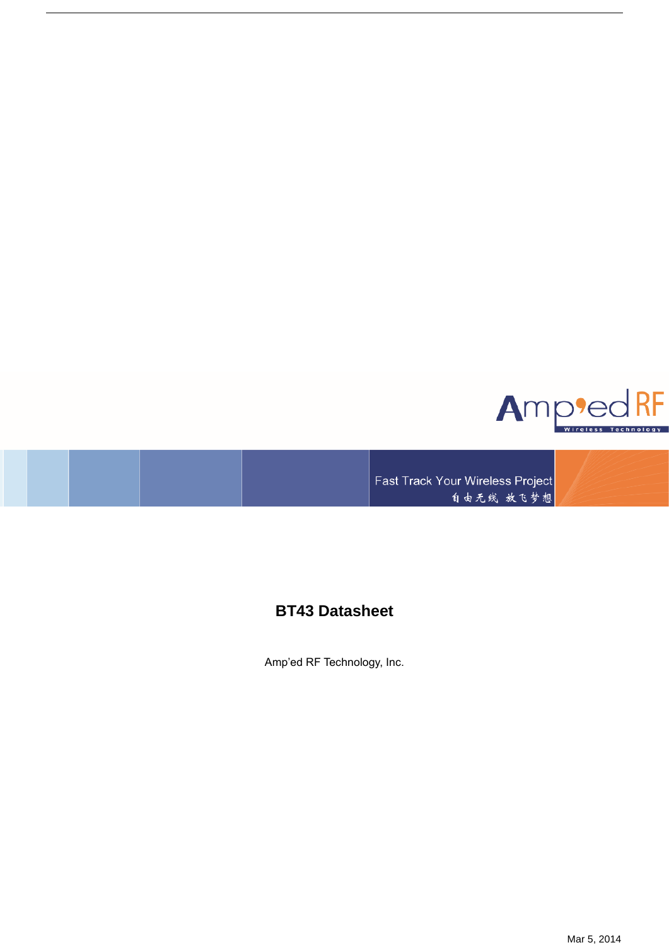

Fast Track Your Wireless Project 自由无线 放飞梦想

# **BT43 Datasheet**

Amp'ed RF Technology, Inc.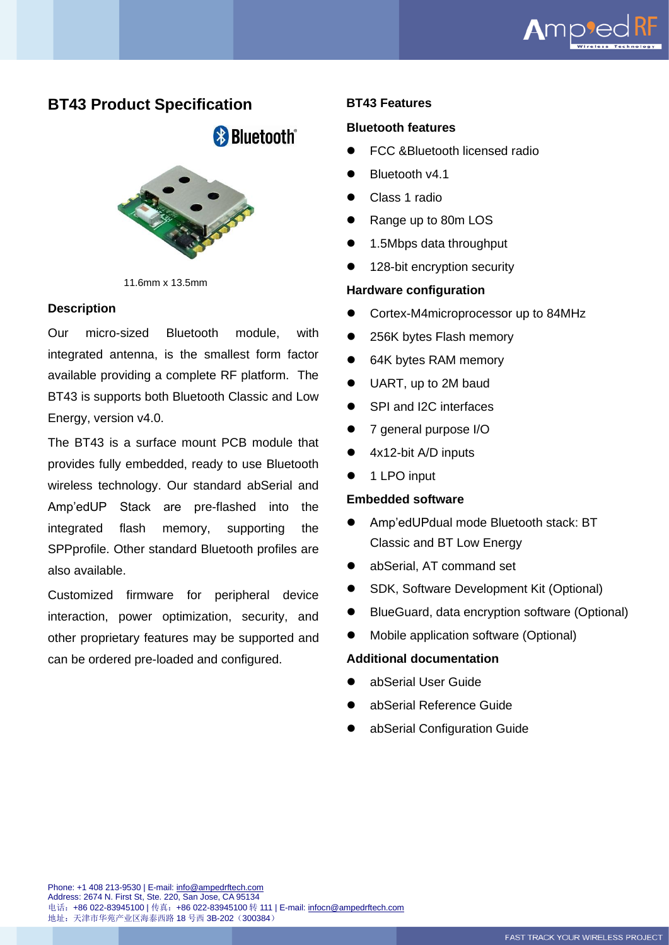

## **BT43 Product Specification**

**& Bluetooth**®



11.6mm x 13.5mm

## **Description**

Our micro-sized Bluetooth module, with integrated antenna, is the smallest form factor available providing a complete RF platform. The BT43 is supports both Bluetooth Classic and Low Energy, version v4.0.

The BT43 is a surface mount PCB module that provides fully embedded, ready to use Bluetooth wireless technology. Our standard abSerial and Amp'edUP Stack are pre-flashed into the integrated flash memory, supporting the SPPprofile. Other standard Bluetooth profiles are also available.

Customized firmware for peripheral device interaction, power optimization, security, and other proprietary features may be supported and can be ordered pre-loaded and configured.

## **BT43 Features**

### **Bluetooth features**

- ⚫ FCC &Bluetooth licensed radio
- ⚫ Bluetooth v4.1
- ⚫ Class 1 radio
- ⚫ Range up to 80m LOS
- ⚫ 1.5Mbps data throughput
- 128-bit encryption security

## **Hardware configuration**

- Cortex-M4microprocessor up to 84MHz
- ⚫ 256K bytes Flash memory
- 64K bytes RAM memory
- ⚫ UART, up to 2M baud
- ⚫ SPI and I2C interfaces
- ⚫ 7 general purpose I/O
- ⚫ 4x12-bit A/D inputs
- ⚫ 1 LPO input

## **Embedded software**

- ⚫ Amp'edUPdual mode Bluetooth stack: BT Classic and BT Low Energy
- ⚫ abSerial, AT command set
- ⚫ SDK, Software Development Kit (Optional)
- BlueGuard, data encryption software (Optional)
- ⚫ Mobile application software (Optional)

## **Additional documentation**

- ⚫ abSerial User Guide
- ⚫ abSerial Reference Guide
- ⚫ abSerial Configuration Guide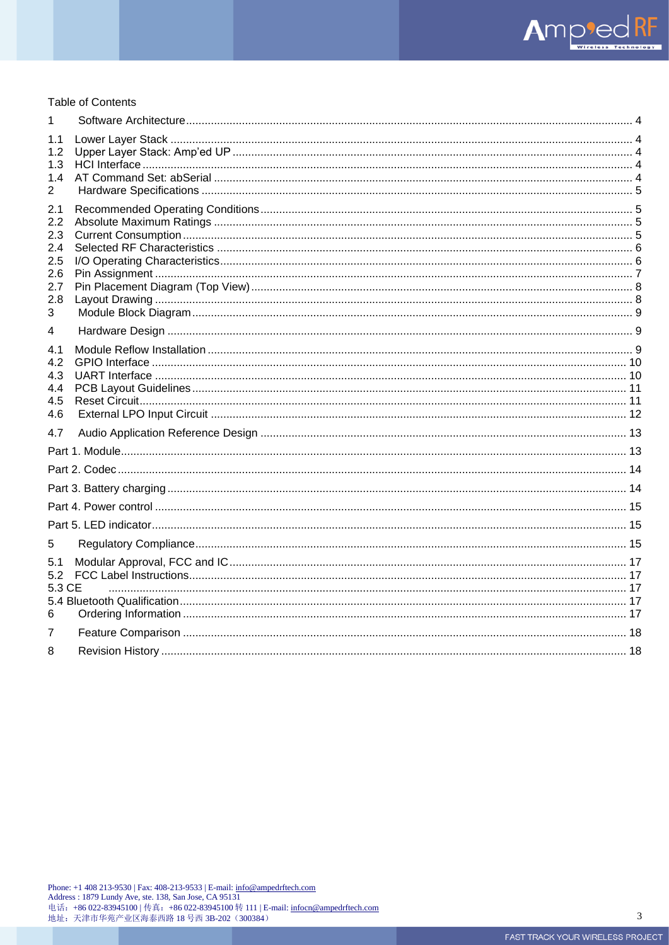#### **Table of Contents**

| 1                              |  |
|--------------------------------|--|
| 1.1<br>1.2 <sub>2</sub><br>1.3 |  |
| 1.4                            |  |
| $\overline{2}$                 |  |
| 2.1<br>$2.2^{\circ}$           |  |
| 2.3                            |  |
| 2.4                            |  |
| 2.5<br>2.6                     |  |
| 2.7                            |  |
| 2.8<br>3                       |  |
| 4                              |  |
| 4.1                            |  |
| 4.2                            |  |
| 4.3<br>4.4                     |  |
| 4.5                            |  |
| 4.6                            |  |
| 4.7                            |  |
|                                |  |
|                                |  |
|                                |  |
|                                |  |
|                                |  |
| 5                              |  |
| 5.1                            |  |
| 5.2<br>5.3 CE                  |  |
|                                |  |
| 6                              |  |
| 7                              |  |
| 8                              |  |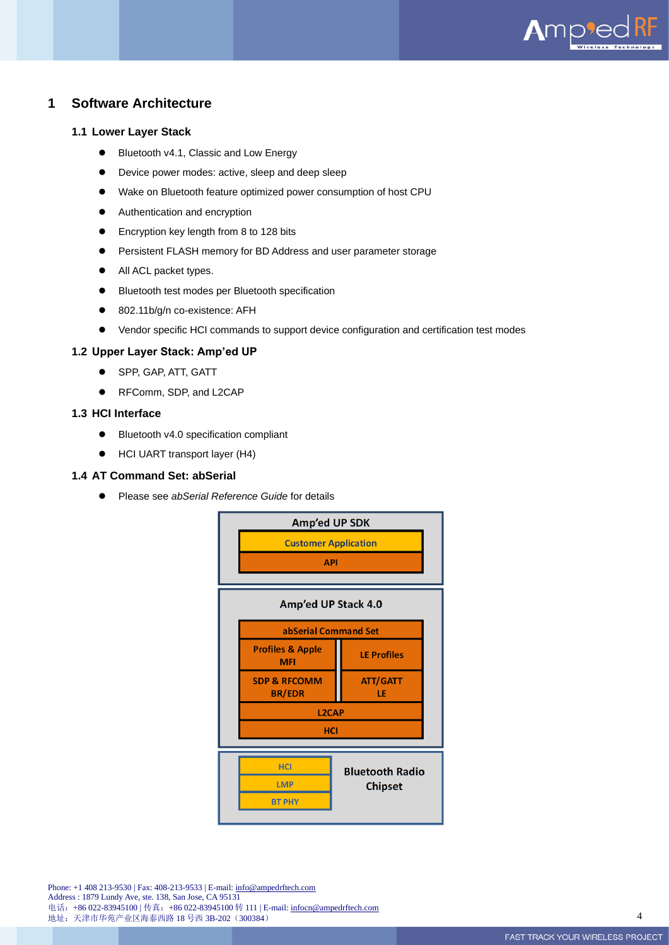

## <span id="page-3-0"></span>**1 Software Architecture**

#### <span id="page-3-1"></span>**1.1 Lower Layer Stack**

- Bluetooth v4.1, Classic and Low Energy
- Device power modes: active, sleep and deep sleep
- Wake on Bluetooth feature optimized power consumption of host CPU
- Authentication and encryption
- Encryption key length from 8 to 128 bits
- Persistent FLASH memory for BD Address and user parameter storage
- All ACL packet types.
- ⚫ Bluetooth test modes per Bluetooth specification
- 802.11b/g/n co-existence: AFH
- Vendor specific HCI commands to support device configuration and certification test modes

#### <span id="page-3-2"></span>**1.2 Upper Layer Stack: Amp'ed UP**

- ⚫ SPP, GAP, ATT, GATT
- RFComm, SDP, and L2CAP

#### <span id="page-3-3"></span>**1.3 HCI Interface**

- ⚫ Bluetooth v4.0 specification compliant
- HCI UART transport layer (H4)

#### <span id="page-3-4"></span>**1.4 AT Command Set: abSerial**

⚫ Please see *abSerial Reference Guide* for details

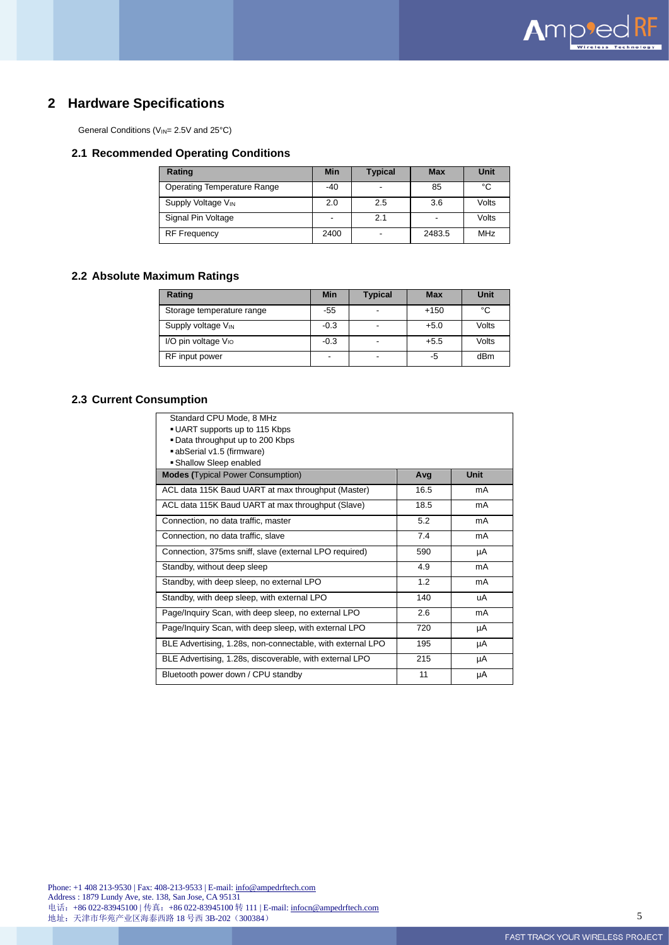

## <span id="page-4-0"></span>**2 Hardware Specifications**

General Conditions (V<sub>IN</sub>= 2.5V and 25°C)

#### <span id="page-4-1"></span>**2.1 Recommended Operating Conditions**

| Rating                             | <b>Min</b> | <b>Typical</b> | <b>Max</b> | Unit       |
|------------------------------------|------------|----------------|------------|------------|
| <b>Operating Temperature Range</b> | -40        |                | 85         | °C         |
| Supply Voltage VIN                 | 2.0        | 2.5            | 3.6        | Volts      |
| Signal Pin Voltage                 |            | 2.1            |            | Volts      |
| <b>RF Frequency</b>                | 2400       | -              | 2483.5     | <b>MHz</b> |

## <span id="page-4-2"></span>**2.2 Absolute Maximum Ratings**

| Rating                          | <b>Min</b> | <b>Typical</b>           | <b>Max</b> | Unit  |
|---------------------------------|------------|--------------------------|------------|-------|
| Storage temperature range       | -55        | $\overline{\phantom{a}}$ | $+150$     | °C    |
| Supply voltage V <sub>IN</sub>  | $-0.3$     | ٠                        | $+5.0$     | Volts |
| I/O pin voltage V <sub>IO</sub> | $-0.3$     | $\overline{\phantom{a}}$ | $+5.5$     | Volts |
| RF input power                  | -          | ٠                        | -5         | dBm   |

## <span id="page-4-3"></span>**2.3 Current Consumption**

| Standard CPU Mode, 8 MHz<br>• UART supports up to 115 Kbps<br>. Data throughput up to 200 Kbps<br>abSerial v1.5 (firmware)<br>• Shallow Sleep enabled |      |             |
|-------------------------------------------------------------------------------------------------------------------------------------------------------|------|-------------|
| <b>Modes (Typical Power Consumption)</b>                                                                                                              | Avg  | <b>Unit</b> |
| ACL data 115K Baud UART at max throughput (Master)                                                                                                    | 16.5 | mA          |
| ACL data 115K Baud UART at max throughput (Slave)                                                                                                     | 18.5 | mA          |
| Connection, no data traffic, master                                                                                                                   | 5.2  | mA          |
| Connection, no data traffic, slave                                                                                                                    | 7.4  | mA          |
| Connection, 375ms sniff, slave (external LPO required)                                                                                                | 590  | μA          |
| Standby, without deep sleep                                                                                                                           | 4.9  | mA          |
| Standby, with deep sleep, no external LPO                                                                                                             | 1.2  | mA          |
| Standby, with deep sleep, with external LPO                                                                                                           | 140  | uA          |
| Page/Inquiry Scan, with deep sleep, no external LPO                                                                                                   | 2.6  | mA          |
| Page/Inquiry Scan, with deep sleep, with external LPO                                                                                                 | 720  | μA          |
| BLE Advertising, 1.28s, non-connectable, with external LPO                                                                                            | 195  | μA          |
| BLE Advertising, 1.28s, discoverable, with external LPO                                                                                               | 215  | μA          |
| Bluetooth power down / CPU standby                                                                                                                    | 11   | μA          |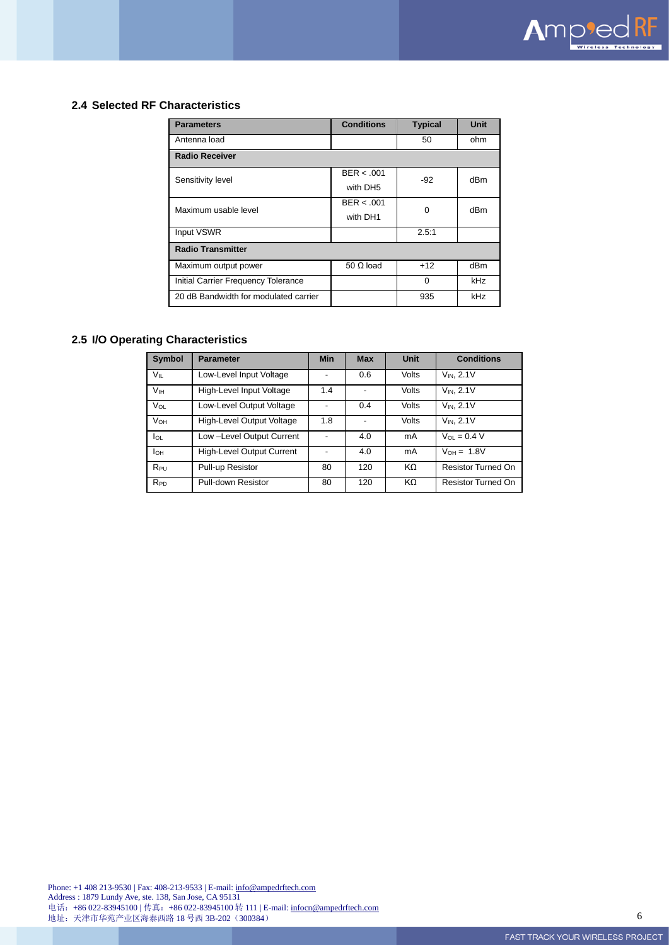

#### <span id="page-5-0"></span>**2.4 Selected RF Characteristics**

| <b>Parameters</b>                     | <b>Conditions</b>      | <b>Typical</b> | Unit |  |  |  |
|---------------------------------------|------------------------|----------------|------|--|--|--|
| Antenna load                          |                        | 50             | ohm  |  |  |  |
| <b>Radio Receiver</b>                 |                        |                |      |  |  |  |
| Sensitivity level                     | BER < .001<br>with DH5 | $-92$          | dBm  |  |  |  |
| Maximum usable level                  | BER < .001<br>with DH1 | 0              | dBm  |  |  |  |
| Input VSWR                            |                        | 2.5:1          |      |  |  |  |
| <b>Radio Transmitter</b>              |                        |                |      |  |  |  |
| Maximum output power                  | $50 \Omega$ load       | $+12$          | dBm  |  |  |  |
| Initial Carrier Frequency Tolerance   |                        | $\Omega$       | kHz  |  |  |  |
| 20 dB Bandwidth for modulated carrier |                        | 935            | kHz  |  |  |  |

## <span id="page-5-1"></span>**2.5 I/O Operating Characteristics**

| <b>Symbol</b>          | <b>Parameter</b>          | <b>Min</b> | <b>Max</b> | <b>Unit</b>  | <b>Conditions</b>         |
|------------------------|---------------------------|------------|------------|--------------|---------------------------|
| VIL.                   | Low-Level Input Voltage   |            | 0.6        | <b>Volts</b> | $V_{IN}$ , 2.1V           |
| <b>V<sub>IH</sub></b>  | High-Level Input Voltage  | 1.4        |            | Volts        | $V_{IN}$ , 2.1V           |
| VOL                    | Low-Level Output Voltage  |            | 0.4        | <b>Volts</b> | $V_{IN}$ , 2.1V           |
| <b>V</b> <sub>OН</sub> | High-Level Output Voltage | 1.8        |            | Volts        | $V_{IN.}$ 2.1V            |
| lol                    | Low -Level Output Current |            | 4.0        | mA           | $V_{01} = 0.4 V$          |
| Іон                    | High-Level Output Current |            | 4.0        | mA           | $V_{OH} = 1.8V$           |
| $R_{PU}$               | Pull-up Resistor          | 80         | 120        | KΩ           | <b>Resistor Turned On</b> |
| <b>RPD</b>             | Pull-down Resistor        | 80         | 120        | KΩ           | <b>Resistor Turned On</b> |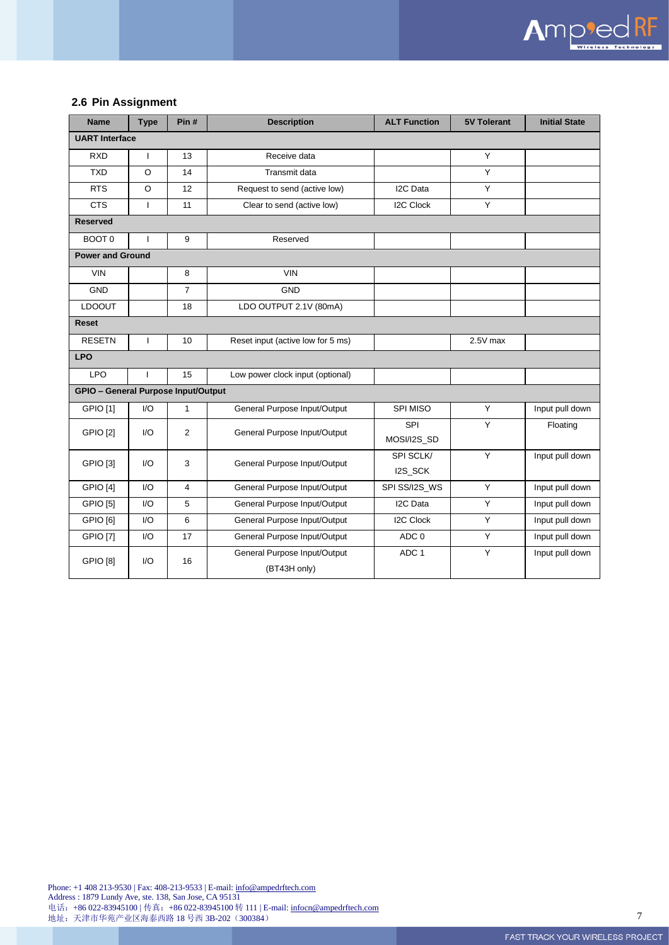

#### <span id="page-6-0"></span>**2.6 Pin Assignment**

| <b>Name</b>                                                              | <b>Type</b>                         | Pin#                         | <b>Description</b>               | <b>ALT Function</b> | <b>5V Tolerant</b> | <b>Initial State</b> |  |
|--------------------------------------------------------------------------|-------------------------------------|------------------------------|----------------------------------|---------------------|--------------------|----------------------|--|
| <b>UART</b> Interface                                                    |                                     |                              |                                  |                     |                    |                      |  |
| 13<br><b>RXD</b><br>$\mathsf{I}$<br>Receive data                         |                                     | Y                            |                                  |                     |                    |                      |  |
| <b>TXD</b>                                                               | $\circ$                             | 14                           | Transmit data                    |                     | Y                  |                      |  |
| <b>RTS</b>                                                               | $\circ$                             | 12                           | Request to send (active low)     | I2C Data            | Y                  |                      |  |
| <b>CTS</b>                                                               | $\mathbf{I}$                        | 11                           | Clear to send (active low)       | <b>I2C Clock</b>    | Y                  |                      |  |
| <b>Reserved</b>                                                          |                                     |                              |                                  |                     |                    |                      |  |
| BOOT 0                                                                   | ı                                   | 9                            | Reserved                         |                     |                    |                      |  |
| <b>Power and Ground</b>                                                  |                                     |                              |                                  |                     |                    |                      |  |
| <b>VIN</b>                                                               |                                     | 8                            | <b>VIN</b>                       |                     |                    |                      |  |
| <b>GND</b>                                                               |                                     | $\overline{7}$               | <b>GND</b>                       |                     |                    |                      |  |
| <b>LDOOUT</b>                                                            |                                     | 18                           | LDO OUTPUT 2.1V (80mA)           |                     |                    |                      |  |
| <b>Reset</b>                                                             |                                     |                              |                                  |                     |                    |                      |  |
| <b>RESETN</b><br>10<br>Reset input (active low for 5 ms)<br>$\mathbf{I}$ |                                     |                              | 2.5V max                         |                     |                    |                      |  |
| <b>LPO</b>                                                               |                                     |                              |                                  |                     |                    |                      |  |
| <b>LPO</b>                                                               | $\mathbf{I}$                        | 15                           | Low power clock input (optional) |                     |                    |                      |  |
|                                                                          | GPIO - General Purpose Input/Output |                              |                                  |                     |                    |                      |  |
| <b>GPIO</b> [1]                                                          | 1/O                                 | $\mathbf{1}$                 | General Purpose Input/Output     | SPI MISO            | Y                  | Input pull down      |  |
| <b>GPIO [2]</b>                                                          | 1/O<br>2                            | General Purpose Input/Output | SPI                              | Y                   | Floating           |                      |  |
|                                                                          |                                     |                              |                                  | MOSI/I2S_SD         |                    |                      |  |
| <b>GPIO [3]</b>                                                          | 1/O                                 | 3                            | General Purpose Input/Output     | SPI SCLK/           | Y                  | Input pull down      |  |
|                                                                          |                                     |                              |                                  | I2S_SCK             |                    |                      |  |
| GPIO <sub>[4]</sub>                                                      | 1/O                                 | $\overline{4}$               | General Purpose Input/Output     | SPI SS/I2S WS       | Y                  | Input pull down      |  |
| <b>GPIO [5]</b>                                                          | 1/O                                 | 5                            | General Purpose Input/Output     | I2C Data            | Y                  | Input pull down      |  |
| GPIO [6]                                                                 | I/O                                 | 6                            | General Purpose Input/Output     | <b>I2C Clock</b>    | Y                  | Input pull down      |  |
| <b>GPIO</b> [7]                                                          | 1/O                                 | 17                           | General Purpose Input/Output     | ADC 0               | Y                  | Input pull down      |  |
| <b>GPIO [8]</b>                                                          | 1/O                                 | 16                           | General Purpose Input/Output     | ADC 1               | Y                  | Input pull down      |  |
|                                                                          |                                     |                              | (BT43H only)                     |                     |                    |                      |  |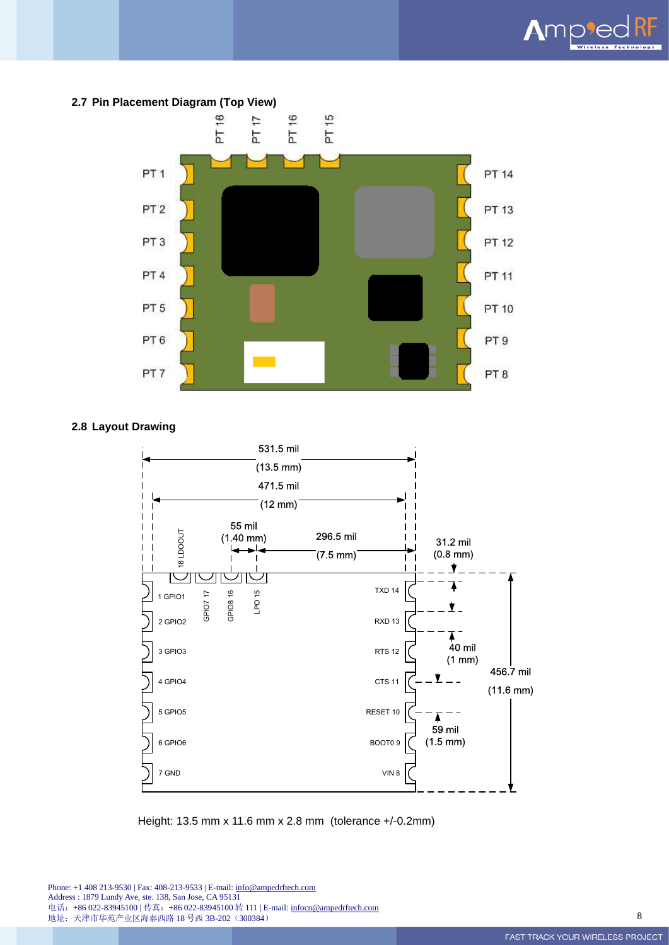

<span id="page-7-0"></span>

#### <span id="page-7-1"></span>**2.8 Layout Drawing**



Height: 13.5 mm x 11.6 mm x 2.8 mm (tolerance +/-0.2mm)

Phone: +1 408 213-9530 | Fax: 408-213-9533 | E-mail[: info@ampedrftech.com](mailto:info@ampedrftech.com) Address : 1879 Lundy Ave, ste. 138, San Jose, CA 95131 电话: +86 022-83945100 | 传真: +86 022-83945100 转 111 | E-mail[: infocn@ampedrftech.com](mailto:infocn@ampedrftech.com) 地址:天津市华苑产业区海泰西路 18 号西 3B-202(300384) 8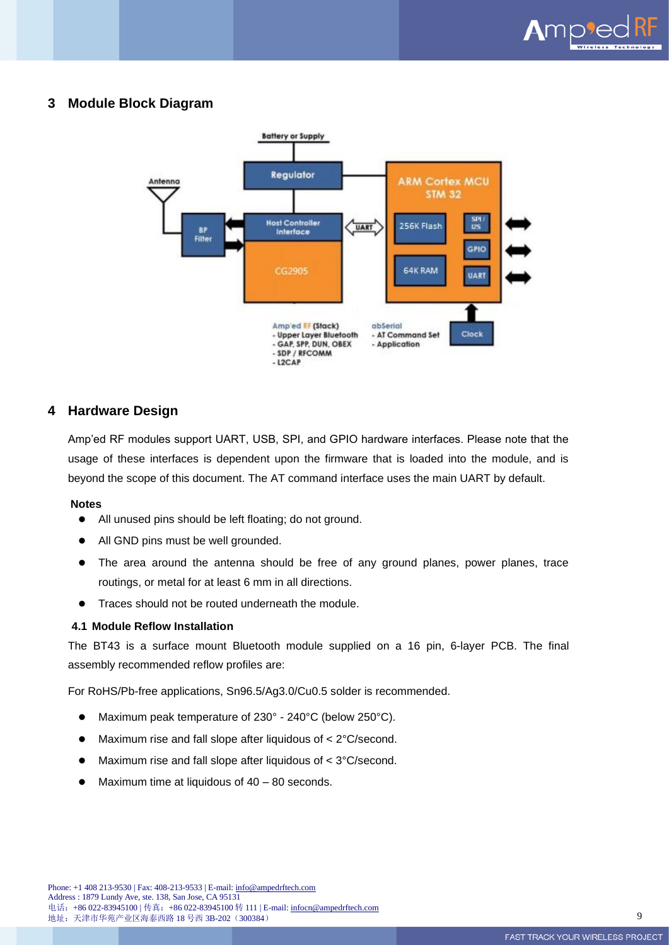

## <span id="page-8-0"></span>**3 Module Block Diagram**



## <span id="page-8-1"></span>**4 Hardware Design**

Amp'ed RF modules support UART, USB, SPI, and GPIO hardware interfaces. Please note that the usage of these interfaces is dependent upon the firmware that is loaded into the module, and is beyond the scope of this document. The AT command interface uses the main UART by default.

#### **Notes**

- ⚫ All unused pins should be left floating; do not ground.
- All GND pins must be well grounded.
- ⚫ The area around the antenna should be free of any ground planes, power planes, trace routings, or metal for at least 6 mm in all directions.
- Traces should not be routed underneath the module.

#### <span id="page-8-2"></span>**4.1 Module Reflow Installation**

The BT43 is a surface mount Bluetooth module supplied on a 16 pin, 6-layer PCB. The final assembly recommended reflow profiles are:

For RoHS/Pb-free applications, Sn96.5/Ag3.0/Cu0.5 solder is recommended.

- ⚫ Maximum peak temperature of 230° 240°C (below 250°C).
- Maximum rise and fall slope after liquidous of < 2°C/second.
- Maximum rise and fall slope after liquidous of < 3°C/second.
- Maximum time at liquidous of  $40 80$  seconds.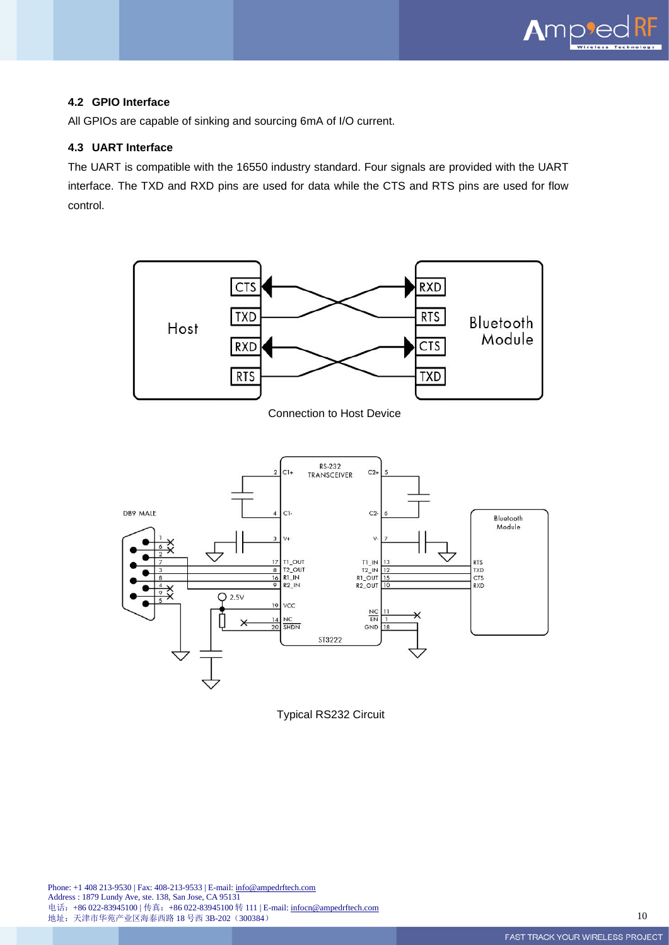

#### <span id="page-9-0"></span>**4.2 GPIO Interface**

All GPIOs are capable of sinking and sourcing 6mA of I/O current.

#### <span id="page-9-1"></span>**4.3 UART Interface**

The UART is compatible with the 16550 industry standard. Four signals are provided with the UART interface. The TXD and RXD pins are used for data while the CTS and RTS pins are used for flow control.





Typical RS232 Circuit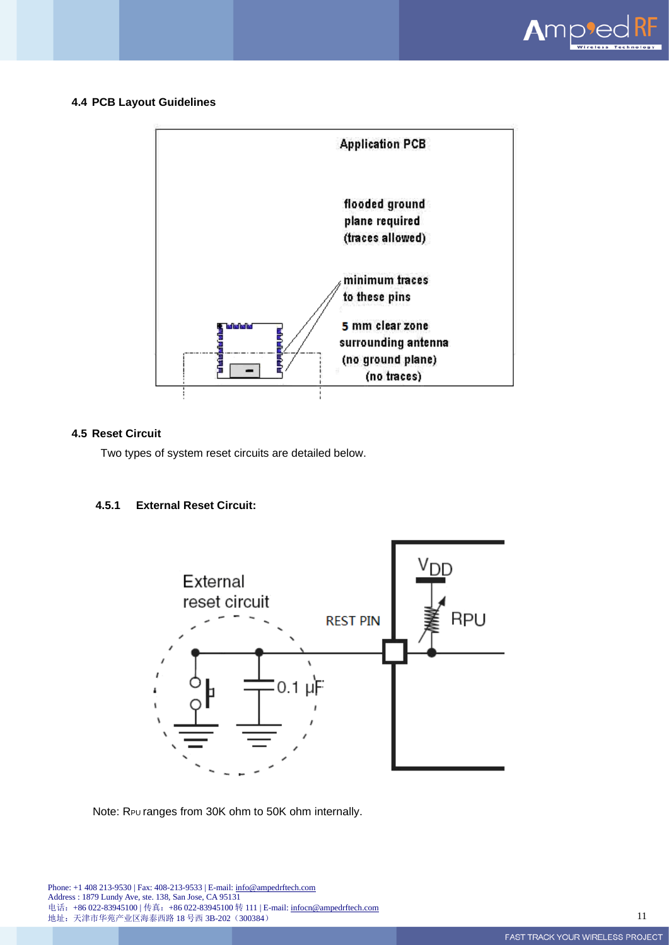

#### <span id="page-10-0"></span>**4.4 PCB Layout Guidelines**



## <span id="page-10-1"></span>**4.5 Reset Circuit**

Two types of system reset circuits are detailed below.

## **4.5.1 External Reset Circuit:**



#### Note: R<sub>PU</sub> ranges from 30K ohm to 50K ohm internally.

Phone: +1 408 213-9530 | Fax: 408-213-9533 | E-mail[: info@ampedrftech.com](mailto:info@ampedrftech.com) Address : 1879 Lundy Ave, ste. 138, San Jose, CA 95131 电话: +86 022-83945100 | 传真: +86 022-83945100 转 111 | E-mail[: infocn@ampedrftech.com](mailto:infocn@ampedrftech.com) 地址:天津市华苑产业区海泰西路 18 号西 3B-202(300384) 11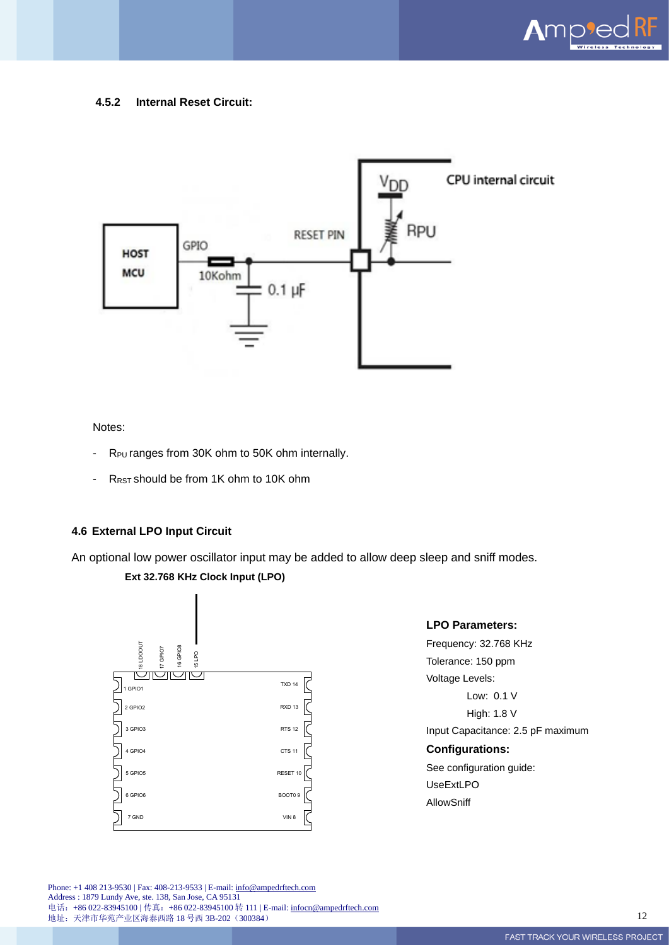

#### **4.5.2 Internal Reset Circuit:**



Notes:

- R<sub>PU</sub> ranges from 30K ohm to 50K ohm internally.
- R<sub>RST</sub> should be from 1K ohm to 10K ohm

### <span id="page-11-0"></span>**4.6 External LPO Input Circuit**

An optional low power oscillator input may be added to allow deep sleep and sniff modes.





### **LPO Parameters:**

Frequency: 32.768 KHz Tolerance: 150 ppm Voltage Levels: Low: 0.1 V High: 1.8 V Input Capacitance: 2.5 pF maximum **Configurations:** See configuration guide: UseExtLPO AllowSniff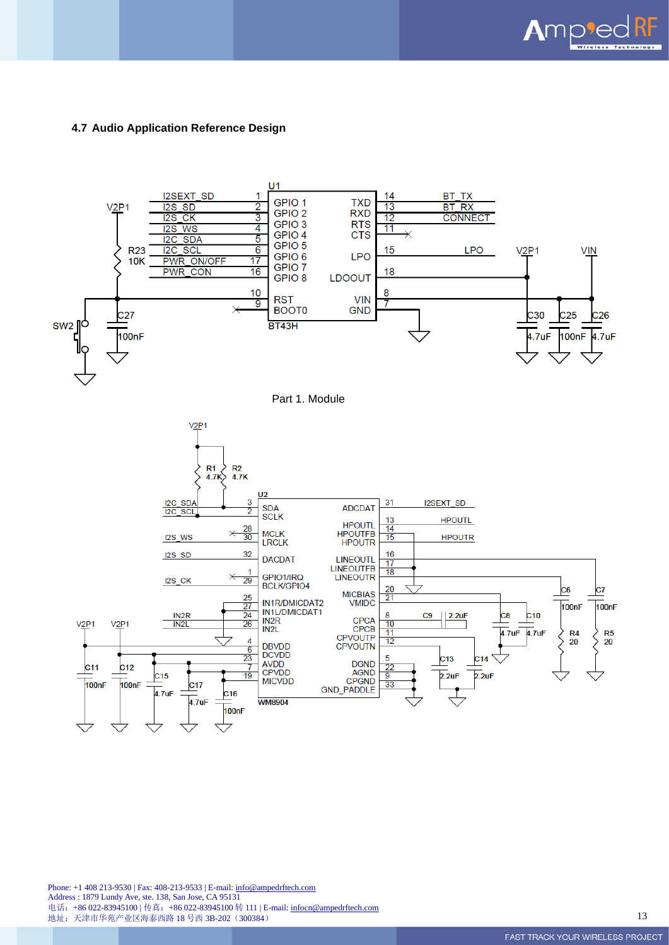

#### <span id="page-12-0"></span>**4.7 Audio Application Reference Design**

<span id="page-12-1"></span>

Phone: +1 408 213-9530 | Fax: 408-213-9533 | E-mail[: info@ampedrftech.com](mailto:info@ampedrftech.com) Address : 1879 Lundy Ave, ste. 138, San Jose, CA 95131 电话: +86 022-83945100 | 传真: +86 022-83945100 转 111 | E-mail[: infocn@ampedrftech.com](mailto:infocn@ampedrftech.com) 地址:天津市华苑产业区海泰西路 18 号西 3B-202(300384) 13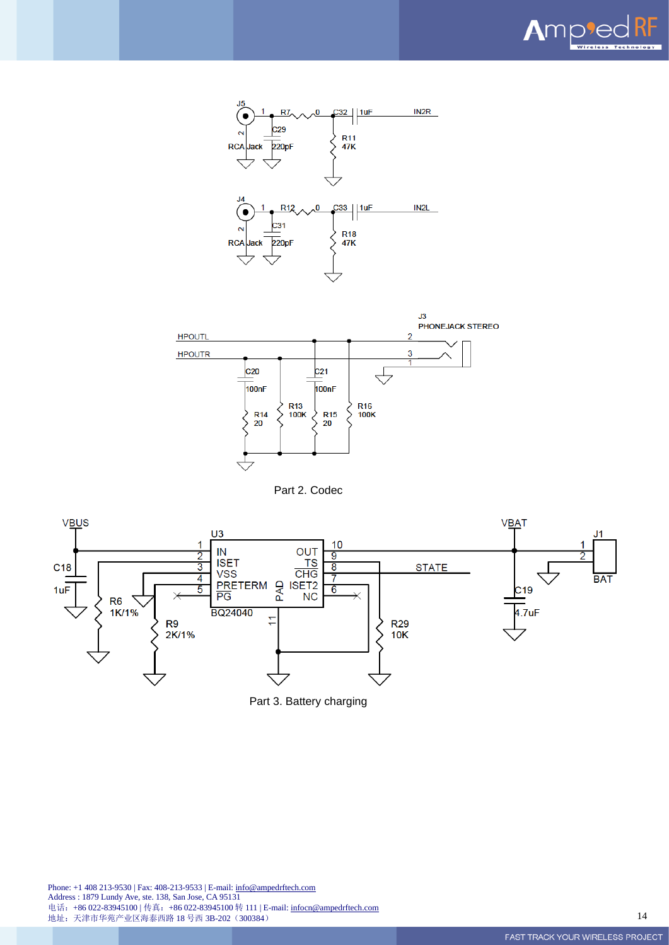







<span id="page-13-1"></span><span id="page-13-0"></span>

Part 3. Battery charging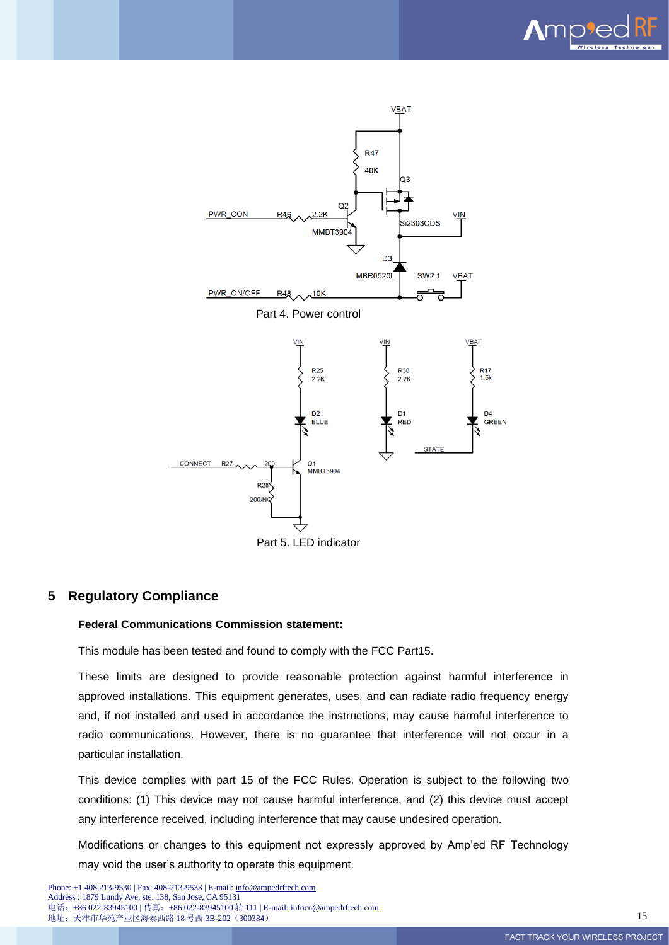

<span id="page-14-0"></span>

### <span id="page-14-2"></span><span id="page-14-1"></span>**5 Regulatory Compliance**

#### **Federal Communications Commission statement:**

This module has been tested and found to comply with the FCC Part15.

These limits are designed to provide reasonable protection against harmful interference in approved installations. This equipment generates, uses, and can radiate radio frequency energy and, if not installed and used in accordance the instructions, may cause harmful interference to radio communications. However, there is no guarantee that interference will not occur in a particular installation.

This device complies with part 15 of the FCC Rules. Operation is subject to the following two conditions: (1) This device may not cause harmful interference, and (2) this device must accept any interference received, including interference that may cause undesired operation.

Modifications or changes to this equipment not expressly approved by Amp'ed RF Technology may void the user's authority to operate this equipment.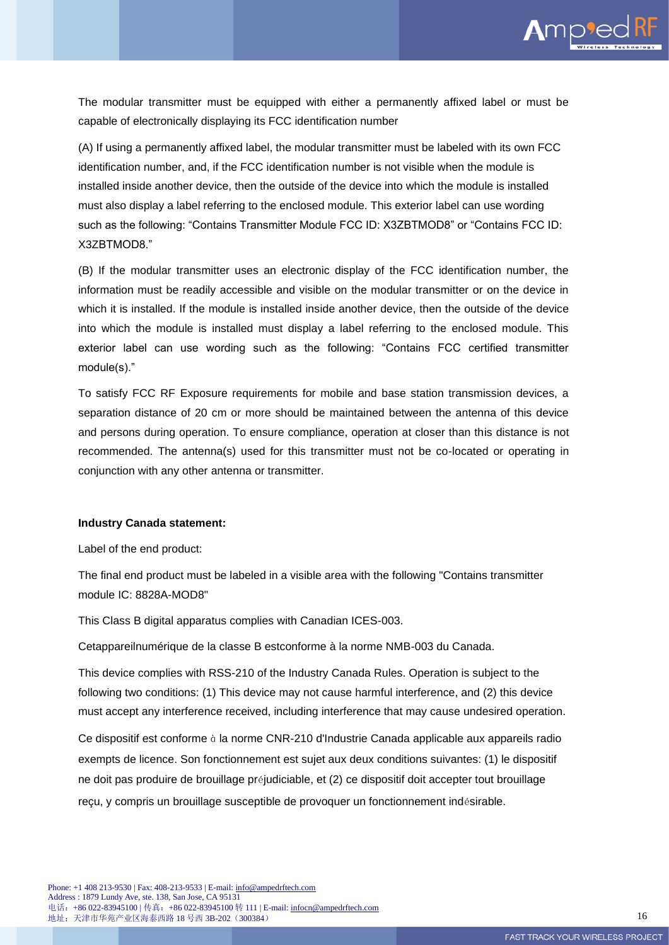

The modular transmitter must be equipped with either a permanently affixed label or must be capable of electronically displaying its FCC identification number

(A) If using a permanently affixed label, the modular transmitter must be labeled with its own FCC identification number, and, if the FCC identification number is not visible when the module is installed inside another device, then the outside of the device into which the module is installed must also display a label referring to the enclosed module. This exterior label can use wording such as the following: "Contains Transmitter Module FCC ID: X3ZBTMOD8" or "Contains FCC ID: X3ZBTMOD8."

(B) If the modular transmitter uses an electronic display of the FCC identification number, the information must be readily accessible and visible on the modular transmitter or on the device in which it is installed. If the module is installed inside another device, then the outside of the device into which the module is installed must display a label referring to the enclosed module. This exterior label can use wording such as the following: "Contains FCC certified transmitter module(s)."

To satisfy FCC RF Exposure requirements for mobile and base station transmission devices, a separation distance of 20 cm or more should be maintained between the antenna of this device and persons during operation. To ensure compliance, operation at closer than this distance is not recommended. The antenna(s) used for this transmitter must not be co-located or operating in conjunction with any other antenna or transmitter.

#### **Industry Canada statement:**

Label of the end product:

The final end product must be labeled in a visible area with the following "Contains transmitter module IC: 8828A-MOD8"

This Class B digital apparatus complies with Canadian ICES-003.

Cetappareilnumérique de la classe B estconforme à la norme NMB-003 du Canada.

This device complies with RSS-210 of the Industry Canada Rules. Operation is subject to the following two conditions: (1) This device may not cause harmful interference, and (2) this device must accept any interference received, including interference that may cause undesired operation.

Ce dispositif est conforme à la norme CNR-210 d'Industrie Canada applicable aux appareils radio exempts de licence. Son fonctionnement est sujet aux deux conditions suivantes: (1) le dispositif ne doit pas produire de brouillage préjudiciable, et (2) ce dispositif doit accepter tout brouillage reçu, y compris un brouillage susceptible de provoquer un fonctionnement indésirable.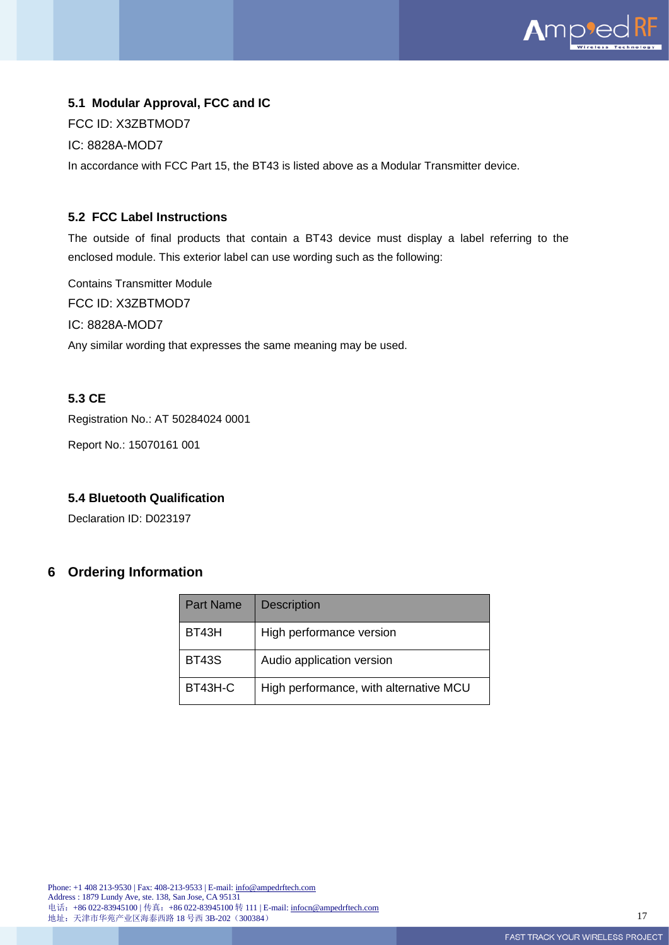

## <span id="page-16-0"></span>**5.1 Modular Approval, FCC and IC**

FCC ID: X3ZBTMOD7

IC: 8828A-MOD7

In accordance with FCC Part 15, the BT43 is listed above as a Modular Transmitter device.

## <span id="page-16-1"></span>**5.2 FCC Label Instructions**

The outside of final products that contain a BT43 device must display a label referring to the enclosed module. This exterior label can use wording such as the following:

Contains Transmitter Module FCC ID: X3ZBTMOD7 IC: 8828A-MOD7 Any similar wording that expresses the same meaning may be used.

## <span id="page-16-2"></span>**5.3 CE**

Registration No.: AT 50284024 0001

Report No.: 15070161 001

#### <span id="page-16-3"></span>**5.4 Bluetooth Qualification**

Declaration ID: D023197

## <span id="page-16-4"></span>**6 Ordering Information**

| <b>Part Name</b> | <b>Description</b>                     |
|------------------|----------------------------------------|
| BT43H            | High performance version               |
| <b>BT43S</b>     | Audio application version              |
| BT43H-C          | High performance, with alternative MCU |